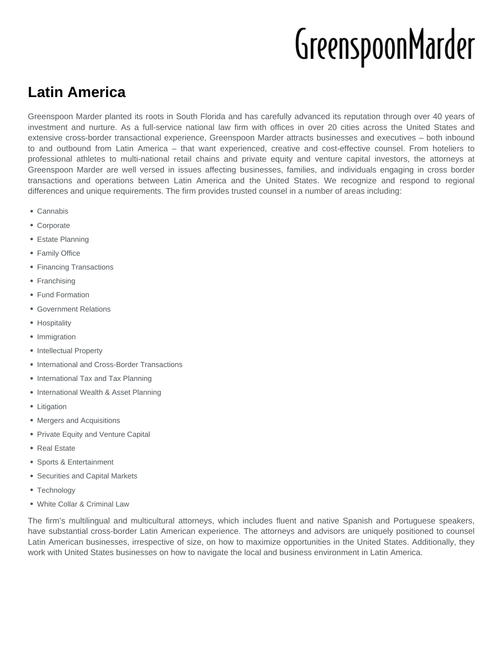# GreenspoonMarder

## **Latin America**

Greenspoon Marder planted its roots in South Florida and has carefully advanced its reputation through over 40 years of investment and nurture. As a full-service national law firm with offices in over 20 cities across the United States and extensive cross-border transactional experience, Greenspoon Marder attracts businesses and executives – both inbound to and outbound from Latin America – that want experienced, creative and cost-effective counsel. From hoteliers to professional athletes to multi-national retail chains and private equity and venture capital investors, the attorneys at Greenspoon Marder are well versed in issues affecting businesses, families, and individuals engaging in cross border transactions and operations between Latin America and the United States. We recognize and respond to regional differences and unique requirements. The firm provides trusted counsel in a number of areas including:

- Cannabis
- Corporate
- Estate Planning
- Family Office
- Financing Transactions
- Franchising
- Fund Formation
- Government Relations
- Hospitality
- Immigration
- Intellectual Property
- International and Cross-Border Transactions
- International Tax and Tax Planning
- International Wealth & Asset Planning
- Litigation
- Mergers and Acquisitions
- Private Equity and Venture Capital
- Real Estate
- Sports & Entertainment
- Securities and Capital Markets
- Technology
- White Collar & Criminal Law

The firm's multilingual and multicultural attorneys, which includes fluent and native Spanish and Portuguese speakers, have substantial cross-border Latin American experience. The attorneys and advisors are uniquely positioned to counsel Latin American businesses, irrespective of size, on how to maximize opportunities in the United States. Additionally, they work with United States businesses on how to navigate the local and business environment in Latin America.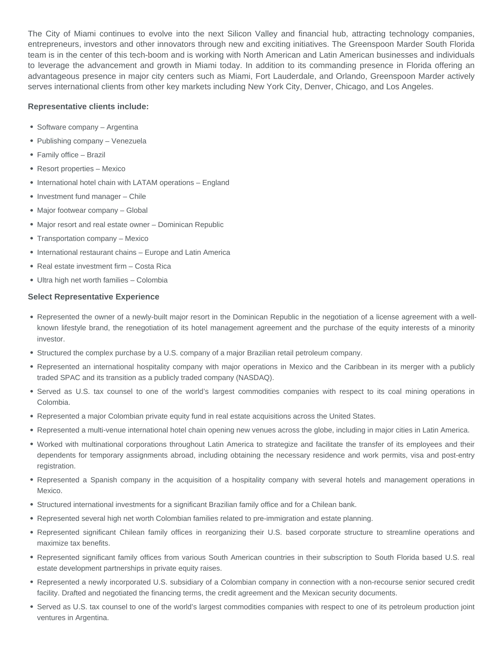The City of Miami continues to evolve into the next Silicon Valley and financial hub, attracting technology companies, entrepreneurs, investors and other innovators through new and exciting initiatives. The Greenspoon Marder South Florida team is in the center of this tech-boom and is working with North American and Latin American businesses and individuals to leverage the advancement and growth in Miami today. In addition to its commanding presence in Florida offering an advantageous presence in major city centers such as Miami, Fort Lauderdale, and Orlando, Greenspoon Marder actively serves international clients from other key markets including New York City, Denver, Chicago, and Los Angeles.

#### **Representative clients include:**

- Software company Argentina
- Publishing company Venezuela
- Family office Brazil
- Resort properties Mexico
- International hotel chain with LATAM operations England
- Investment fund manager Chile
- Major footwear company Global
- Major resort and real estate owner Dominican Republic
- Transportation company Mexico
- International restaurant chains Europe and Latin America
- Real estate investment firm Costa Rica
- Ultra high net worth families Colombia

#### **Select Representative Experience**

- Represented the owner of a newly-built major resort in the Dominican Republic in the negotiation of a license agreement with a wellknown lifestyle brand, the renegotiation of its hotel management agreement and the purchase of the equity interests of a minority investor.
- Structured the complex purchase by a U.S. company of a major Brazilian retail petroleum company.
- Represented an international hospitality company with major operations in Mexico and the Caribbean in its merger with a publicly traded SPAC and its transition as a publicly traded company (NASDAQ).
- Served as U.S. tax counsel to one of the world's largest commodities companies with respect to its coal mining operations in Colombia.
- Represented a major Colombian private equity fund in real estate acquisitions across the United States.
- Represented a multi-venue international hotel chain opening new venues across the globe, including in major cities in Latin America.
- Worked with multinational corporations throughout Latin America to strategize and facilitate the transfer of its employees and their dependents for temporary assignments abroad, including obtaining the necessary residence and work permits, visa and post-entry registration.
- Represented a Spanish company in the acquisition of a hospitality company with several hotels and management operations in Mexico.
- Structured international investments for a significant Brazilian family office and for a Chilean bank.
- Represented several high net worth Colombian families related to pre-immigration and estate planning.
- Represented significant Chilean family offices in reorganizing their U.S. based corporate structure to streamline operations and maximize tax benefits.
- Represented significant family offices from various South American countries in their subscription to South Florida based U.S. real estate development partnerships in private equity raises.
- Represented a newly incorporated U.S. subsidiary of a Colombian company in connection with a non-recourse senior secured credit facility. Drafted and negotiated the financing terms, the credit agreement and the Mexican security documents.
- Served as U.S. tax counsel to one of the world's largest commodities companies with respect to one of its petroleum production joint ventures in Argentina.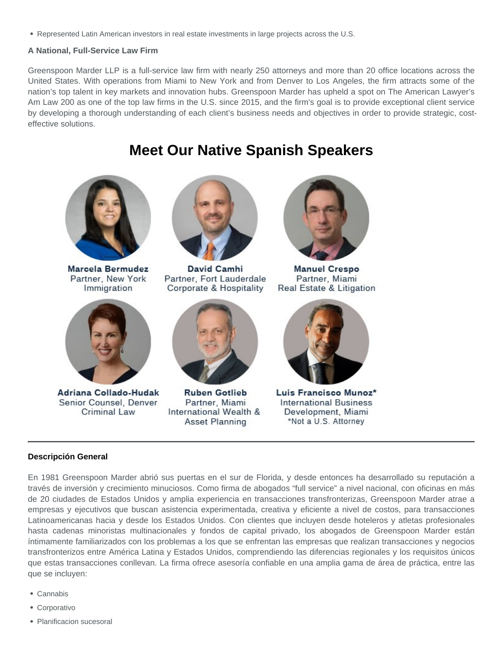Represented Latin American investors in real estate investments in large projects across the U.S.

A National, Full-Service Law Firm

Greenspoon Marder LLP is a full-service law firm with nearly 250 attorneys and more than 20 office locations across the United States. With operations from Miami to New York and from Denver to Los Angeles, the firm attracts some of the nation's top talent in key markets and innovation hubs. Greenspoon Marder has upheld a spot on The American Lawyer's Am Law 200 as one of the top law firms in the U.S. since 2015, and the firm's goal is to provide exceptional client service by developing a thorough understanding of each client's business needs and objectives in order to provide strategic, costeffective solutions.

### Meet Our Native Spanish Speakers

#### Descripción General

En 1981 Greenspoon Marder abrió sus puertas en el sur de Florida, y desde entonces ha desarrollado su reputación a través de inversión y crecimiento minuciosos. Como firma de abogados "full service" a nivel nacional, con oficinas en más de 20 ciudades de Estados Unidos y amplia experiencia en transacciones transfronterizas, Greenspoon Marder atrae a empresas y ejecutivos que buscan asistencia experimentada, creativa y eficiente a nivel de costos, para transacciones Latinoamericanas hacia y desde los Estados Unidos. Con clientes que incluyen desde hoteleros y atletas profesionales hasta cadenas minoristas multinacionales y fondos de capital privado, los abogados de Greenspoon Marder están íntimamente familiarizados con los problemas a los que se enfrentan las empresas que realizan transacciones y negocios transfronterizos entre América Latina y Estados Unidos, comprendiendo las diferencias regionales y los requisitos únicos que estas transacciones conllevan. La firma ofrece asesoría confiable en una amplia gama de área de práctica, entre las que se incluyen:

- Cannabis
- Corporativo
- Planificacion sucesoral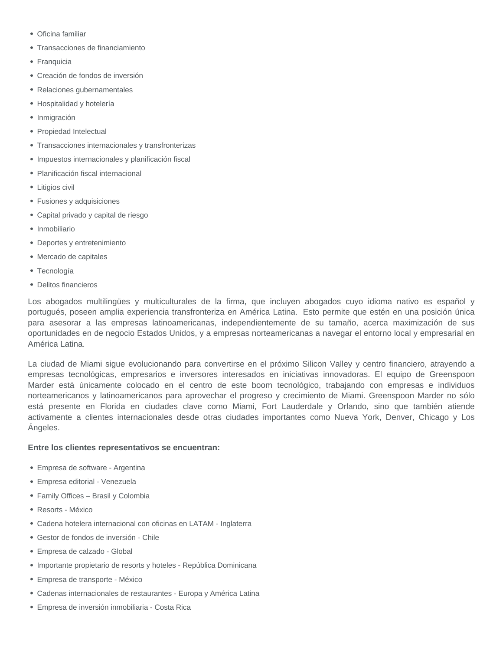- Oficina familiar
- Transacciones de financiamiento
- Franquicia
- Creación de fondos de inversión
- Relaciones gubernamentales
- Hospitalidad y hotelería
- Inmigración
- Propiedad Intelectual
- Transacciones internacionales y transfronterizas
- Impuestos internacionales y planificación fiscal
- Planificación fiscal internacional
- Litigios civil
- Fusiones y adquisiciones
- Capital privado y capital de riesgo
- · Inmobiliario
- Deportes y entretenimiento
- Mercado de capitales
- Tecnología
- Delitos financieros

Los abogados multilingües y multiculturales de la firma, que incluyen abogados cuyo idioma nativo es español y portugués, poseen amplia experiencia transfronteriza en América Latina. Esto permite que estén en una posición única para asesorar a las empresas latinoamericanas, independientemente de su tamaño, acerca maximización de sus oportunidades en de negocio Estados Unidos, y a empresas norteamericanas a navegar el entorno local y empresarial en América Latina.

La ciudad de Miami sigue evolucionando para convertirse en el próximo Silicon Valley y centro financiero, atrayendo a empresas tecnológicas, empresarios e inversores interesados en iniciativas innovadoras. El equipo de Greenspoon Marder está únicamente colocado en el centro de este boom tecnológico, trabajando con empresas e individuos norteamericanos y latinoamericanos para aprovechar el progreso y crecimiento de Miami. Greenspoon Marder no sólo está presente en Florida en ciudades clave como Miami, Fort Lauderdale y Orlando, sino que también atiende activamente a clientes internacionales desde otras ciudades importantes como Nueva York, Denver, Chicago y Los Ángeles.

#### **Entre los clientes representativos se encuentran:**

- Empresa de software Argentina
- Empresa editorial Venezuela
- Family Offices Brasil y Colombia
- Resorts México
- Cadena hotelera internacional con oficinas en LATAM Inglaterra
- Gestor de fondos de inversión Chile
- Empresa de calzado Global
- Importante propietario de resorts y hoteles República Dominicana
- Empresa de transporte México
- Cadenas internacionales de restaurantes Europa y América Latina
- Empresa de inversión inmobiliaria Costa Rica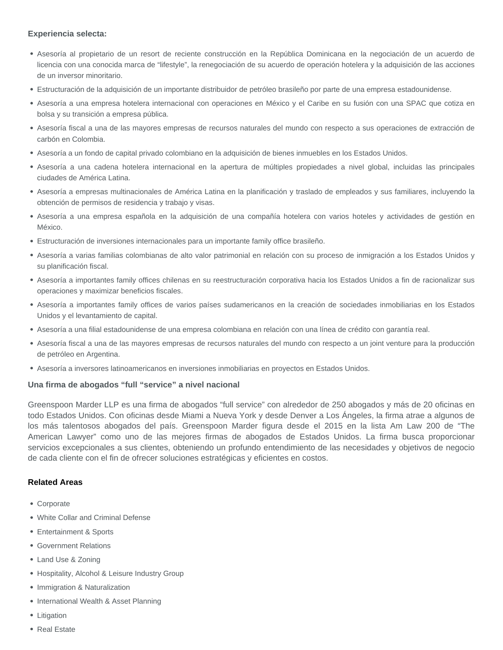#### **Experiencia selecta:**

- Asesoría al propietario de un resort de reciente construcción en la República Dominicana en la negociación de un acuerdo de licencia con una conocida marca de "lifestyle", la renegociación de su acuerdo de operación hotelera y la adquisición de las acciones de un inversor minoritario.
- Estructuración de la adquisición de un importante distribuidor de petróleo brasileño por parte de una empresa estadounidense.
- Asesoría a una empresa hotelera internacional con operaciones en México y el Caribe en su fusión con una SPAC que cotiza en bolsa y su transición a empresa pública.
- Asesoría fiscal a una de las mayores empresas de recursos naturales del mundo con respecto a sus operaciones de extracción de carbón en Colombia.
- Asesoría a un fondo de capital privado colombiano en la adquisición de bienes inmuebles en los Estados Unidos.
- Asesoría a una cadena hotelera internacional en la apertura de múltiples propiedades a nivel global, incluidas las principales ciudades de América Latina.
- Asesoría a empresas multinacionales de América Latina en la planificación y traslado de empleados y sus familiares, incluyendo la obtención de permisos de residencia y trabajo y visas.
- Asesoría a una empresa española en la adquisición de una compañía hotelera con varios hoteles y actividades de gestión en México.
- Estructuración de inversiones internacionales para un importante family office brasileño.
- Asesoría a varias familias colombianas de alto valor patrimonial en relación con su proceso de inmigración a los Estados Unidos y su planificación fiscal.
- Asesoría a importantes family offices chilenas en su reestructuración corporativa hacia los Estados Unidos a fin de racionalizar sus operaciones y maximizar beneficios fiscales.
- Asesoría a importantes family offices de varios países sudamericanos en la creación de sociedades inmobiliarias en los Estados Unidos y el levantamiento de capital.
- Asesoría a una filial estadounidense de una empresa colombiana en relación con una línea de crédito con garantía real.
- Asesoría fiscal a una de las mayores empresas de recursos naturales del mundo con respecto a un joint venture para la producción de petróleo en Argentina.
- Asesoría a inversores latinoamericanos en inversiones inmobiliarias en proyectos en Estados Unidos.

#### **Una firma de abogados "full "service" a nivel nacional**

Greenspoon Marder LLP es una firma de abogados "full service" con alrededor de 250 abogados y más de 20 oficinas en todo Estados Unidos. Con oficinas desde Miami a Nueva York y desde Denver a Los Ángeles, la firma atrae a algunos de los más talentosos abogados del país. Greenspoon Marder figura desde el 2015 en la lista Am Law 200 de "The American Lawyer" como uno de las mejores firmas de abogados de Estados Unidos. La firma busca proporcionar servicios excepcionales a sus clientes, obteniendo un profundo entendimiento de las necesidades y objetivos de negocio de cada cliente con el fin de ofrecer soluciones estratégicas y eficientes en costos.

#### **Related Areas**

- Corporate
- White Collar and Criminal Defense
- Entertainment & Sports
- Government Relations
- Land Use & Zoning
- Hospitality, Alcohol & Leisure Industry Group
- Immigration & Naturalization
- International Wealth & Asset Planning
- Litigation
- Real Estate